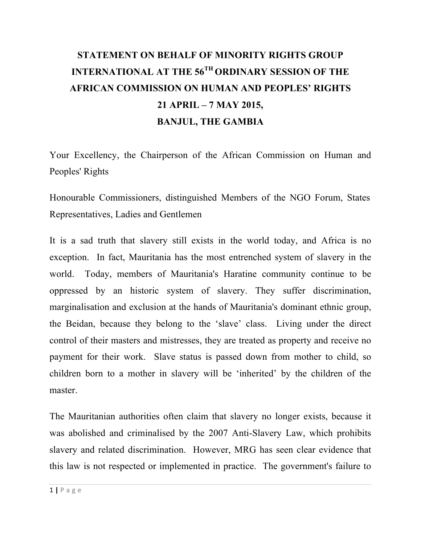## **STATEMENT ON BEHALF OF MINORITY RIGHTS GROUP INTERNATIONAL AT THE 56TH ORDINARY SESSION OF THE AFRICAN COMMISSION ON HUMAN AND PEOPLES' RIGHTS 21 APRIL – 7 MAY 2015, BANJUL, THE GAMBIA**

Your Excellency, the Chairperson of the African Commission on Human and Peoples' Rights

Honourable Commissioners, distinguished Members of the NGO Forum, States Representatives, Ladies and Gentlemen

It is a sad truth that slavery still exists in the world today, and Africa is no exception. In fact, Mauritania has the most entrenched system of slavery in the world. Today, members of Mauritania's Haratine community continue to be oppressed by an historic system of slavery. They suffer discrimination, marginalisation and exclusion at the hands of Mauritania's dominant ethnic group, the Beidan, because they belong to the 'slave' class. Living under the direct control of their masters and mistresses, they are treated as property and receive no payment for their work. Slave status is passed down from mother to child, so children born to a mother in slavery will be 'inherited' by the children of the master.

The Mauritanian authorities often claim that slavery no longer exists, because it was abolished and criminalised by the 2007 Anti-Slavery Law, which prohibits slavery and related discrimination. However, MRG has seen clear evidence that this law is not respected or implemented in practice. The government's failure to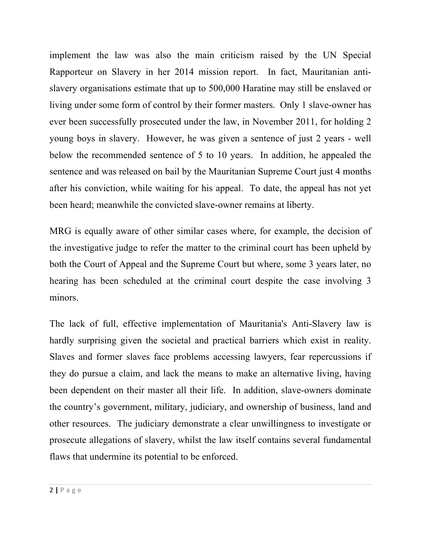implement the law was also the main criticism raised by the UN Special Rapporteur on Slavery in her 2014 mission report. In fact, Mauritanian antislavery organisations estimate that up to 500,000 Haratine may still be enslaved or living under some form of control by their former masters. Only 1 slave-owner has ever been successfully prosecuted under the law, in November 2011, for holding 2 young boys in slavery. However, he was given a sentence of just 2 years - well below the recommended sentence of 5 to 10 years. In addition, he appealed the sentence and was released on bail by the Mauritanian Supreme Court just 4 months after his conviction, while waiting for his appeal. To date, the appeal has not yet been heard; meanwhile the convicted slave-owner remains at liberty.

MRG is equally aware of other similar cases where, for example, the decision of the investigative judge to refer the matter to the criminal court has been upheld by both the Court of Appeal and the Supreme Court but where, some 3 years later, no hearing has been scheduled at the criminal court despite the case involving 3 minors.

The lack of full, effective implementation of Mauritania's Anti-Slavery law is hardly surprising given the societal and practical barriers which exist in reality. Slaves and former slaves face problems accessing lawyers, fear repercussions if they do pursue a claim, and lack the means to make an alternative living, having been dependent on their master all their life. In addition, slave-owners dominate the country's government, military, judiciary, and ownership of business, land and other resources. The judiciary demonstrate a clear unwillingness to investigate or prosecute allegations of slavery, whilst the law itself contains several fundamental flaws that undermine its potential to be enforced.